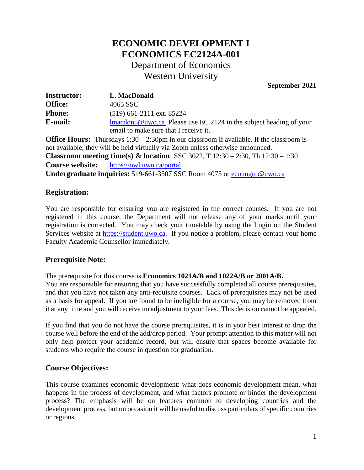# **ECONOMIC DEVELOPMENT I ECONOMICS EC2124A-001** Department of Economics Western University

**September 2021**

| <b>Instructor:</b> | L. MacDonald                                                               |
|--------------------|----------------------------------------------------------------------------|
| <b>Office:</b>     | 4065 SSC                                                                   |
| <b>Phone:</b>      | $(519)$ 661-2111 ext. 85224                                                |
| E-mail:            | $\text{Imacdon5@uwo.ca}$ Please use EC 2124 in the subject heading of your |
|                    | email to make sure that I receive it.                                      |

**Office Hours:** Thursdays 1:30 – 2:30pm in our classroom if available. If the classroom is not available, they will be held virtually via Zoom unless otherwise announced. **Classroom meeting time(s) & location**: SSC 3022, T 12:30 – 2:30, Th 12:30 – 1:30 **Course website:** https://owl.uwo.ca/portal **Undergraduate inquiries:** 519-661-3507 SSC Room 4075 or [econugrd@uwo.ca](mailto:econugrd@uwo.ca)

# **Registration:**

You are responsible for ensuring you are registered in the correct courses. If you are not registered in this course, the Department will not release any of your marks until your registration is corrected. You may check your timetable by using the Login on the Student Services website at [https://student.uwo.ca.](https://student.uwo.ca/) If you notice a problem, please contact your home Faculty Academic Counsellor immediately.

## **Prerequisite Note:**

The prerequisite for this course is **Economics 1021A/B and 1022A/B or 2001A/B.**

You are responsible for ensuring that you have successfully completed all course prerequisites, and that you have not taken any anti-requisite courses. Lack of prerequisites may not be used as a basis for appeal. If you are found to be ineligible for a course, you may be removed from it at any time and you will receive no adjustment to your fees. This decision cannot be appealed.

If you find that you do not have the course prerequisites, it is in your best interest to drop the course well before the end of the add/drop period. Your prompt attention to this matter will not only help protect your academic record, but will ensure that spaces become available for students who require the course in question for graduation.

## **Course Objectives:**

This course examines economic development: what does economic development mean, what happens in the process of development, and what factors promote or hinder the development process? The emphasis will be on features common to developing countries and the development process, but on occasion it will be useful to discuss particulars of specific countries or regions.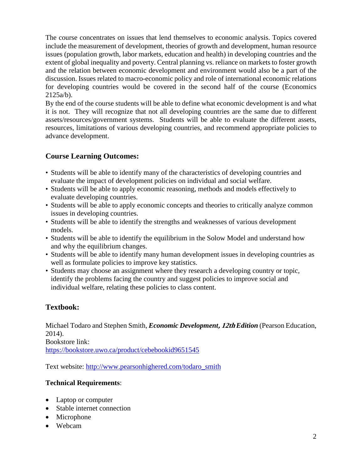The course concentrates on issues that lend themselves to economic analysis. Topics covered include the measurement of development, theories of growth and development, human resource issues (population growth, labor markets, education and health) in developing countries and the extent of global inequality and poverty. Central planning vs. reliance on markets to foster growth and the relation between economic development and environment would also be a part of the discussion. Issues related to macro-economic policy and role of international economic relations for developing countries would be covered in the second half of the course (Economics 2125a/b).

By the end of the course students will be able to define what economic development is and what it is not. They will recognize that not all developing countries are the same due to different assets/resources/government systems. Students will be able to evaluate the different assets, resources, limitations of various developing countries, and recommend appropriate policies to advance development.

# **Course Learning Outcomes:**

- Students will be able to identify many of the characteristics of developing countries and evaluate the impact of development policies on individual and social welfare.
- Students will be able to apply economic reasoning, methods and models effectively to evaluate developing countries.
- Students will be able to apply economic concepts and theories to critically analyze common issues in developing countries.
- Students will be able to identify the strengths and weaknesses of various development models.
- Students will be able to identify the equilibrium in the Solow Model and understand how and why the equilibrium changes.
- Students will be able to identify many human development issues in developing countries as well as formulate policies to improve key statistics.
- Students may choose an assignment where they research a developing country or topic, identify the problems facing the country and suggest policies to improve social and individual welfare, relating these policies to class content.

# **Textbook:**

Michael Todaro and Stephen Smith, *Economic Development***, 12th** *Edition* (Pearson Education, 2014). Bookstore link: <https://bookstore.uwo.ca/product/cebebookid9651545>

Text website: [http://www.pearsonhighered.com/todaro\\_smith](http://www.pearsonhighered.com/todaro_smith)

## **Technical Requirements**:

- Laptop or computer
- Stable internet connection
- Microphone
- Webcam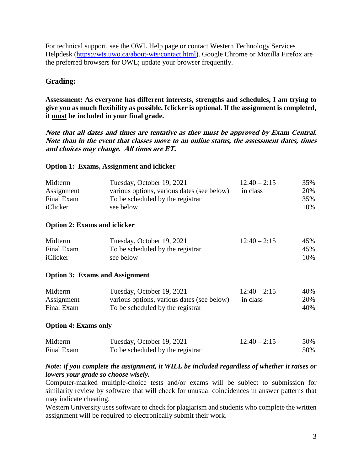For technical support, see the OWL Help page or contact Western Technology Services Helpdesk [\(https://wts.uwo.ca/about-wts/contact.html\)](https://wts.uwo.ca/about-wts/contact.html). Google Chrome or Mozilla Firefox are the preferred browsers for OWL; update your browser frequently.

# **Grading:**

**Assessment: As everyone has different interests, strengths and schedules, I am trying to give you as much flexibility as possible. Iclicker is optional. If the assignment is completed, it must be included in your final grade.**

**Note that all dates and times are tentative as they must be approved by Exam Central. Note than in the event that classes move to an online status, the assessment dates, times and choices may change. All times are ET.** 

#### **Option 1: Exams, Assignment and iclicker**

| Tuesday, October 19, 2021                  | $12:40 - 2:15$ | 35% |
|--------------------------------------------|----------------|-----|
| various options, various dates (see below) | in class       | 20% |
| To be scheduled by the registrar           |                | 35% |
| see below                                  |                | 10% |
|                                            |                |     |

#### **Option 2: Exams and iclicker**

| Midterm    | Tuesday, October 19, 2021        | $12:40 - 2:15$ | 45% |
|------------|----------------------------------|----------------|-----|
| Final Exam | To be scheduled by the registrar |                | 45% |
| iClicker   | see below                        |                | 10% |

#### **Option 3: Exams and Assignment**

| Midterm    | Tuesday, October 19, 2021                  | $12:40 - 2:15$ | 40% |
|------------|--------------------------------------------|----------------|-----|
| Assignment | various options, various dates (see below) | in class       | 20% |
| Final Exam | To be scheduled by the registrar           |                | 40% |

#### **Option 4: Exams only**

| Midterm    | Tuesday, October 19, 2021        | $12:40 - 2:15$ | 50% |
|------------|----------------------------------|----------------|-----|
| Final Exam | To be scheduled by the registrar |                | 50% |

## *Note: if you complete the assignment, it WILL be included regardless of whether it raises or lowers your grade so choose wisely.*

Computer-marked multiple-choice tests and/or exams will be subject to submission for similarity review by software that will check for unusual coincidences in answer patterns that may indicate cheating.

Western University uses software to check for plagiarism and students who complete the written assignment will be required to electronically submit their work.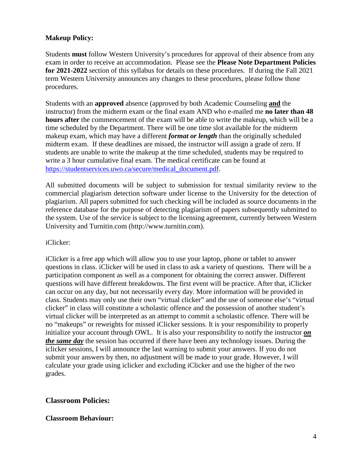#### **Makeup Policy:**

Students **must** follow Western University's procedures for approval of their absence from any exam in order to receive an accommodation. Please see the **Please Note Department Policies for 2021-2022** section of this syllabus for details on these procedures. If during the Fall 2021 term Western University announces any changes to these procedures, please follow those procedures.

Students with an **approved** absence (approved by both Academic Counseling **and** the instructor) from the midterm exam or the final exam AND who e-mailed me **no later than 48 hours after** the commencement of the exam will be able to write the makeup, which will be a time scheduled by the Department. There will be one time slot available for the midterm makeup exam, which may have a different *format or length* than the originally scheduled midterm exam. If these deadlines are missed, the instructor will assign a grade of zero. If students are unable to write the makeup at the time scheduled, students may be required to write a 3 hour cumulative final exam. The medical certificate can be found at [https://studentservices.uwo.ca/secure/medical\\_document.pdf.](https://studentservices.uwo.ca/secure/medical_document.pdf)

All submitted documents will be subject to submission for textual similarity review to the commercial plagiarism detection software under license to the University for the detection of plagiarism. All papers submitted for such checking will be included as source documents in the reference database for the purpose of detecting plagiarism of papers subsequently submitted to the system. Use of the service is subject to the licensing agreement, currently between Western University and Turnitin.com (http://www.turnitin.com).

#### iClicker:

iClicker is a free app which will allow you to use your laptop, phone or tablet to answer questions in class. iClicker will be used in class to ask a variety of questions. There will be a participation component as well as a component for obtaining the correct answer. Different questions will have different breakdowns. The first event will be practice. After that, iClicker can occur on any day, but not necessarily every day. More information will be provided in class. Students may only use their own "virtual clicker" and the use of someone else's "virtual clicker" in class will constitute a scholastic offence and the possession of another student's virtual clicker will be interpreted as an attempt to commit a scholastic offence. There will be no "makeups" or reweights for missed iClicker sessions. It is your responsibility to properly initialize your account through OWL. It is also your responsibility to notify the instructor *on the same day* the session has occurred if there have been any technology issues. During the iclicker sessions, I will announce the last warning to submit your answers. If you do not submit your answers by then, no adjustment will be made to your grade. However, I will calculate your grade using iclicker and excluding iClicker and use the higher of the two grades.

#### **Classroom Policies:**

#### **Classroom Behaviour:**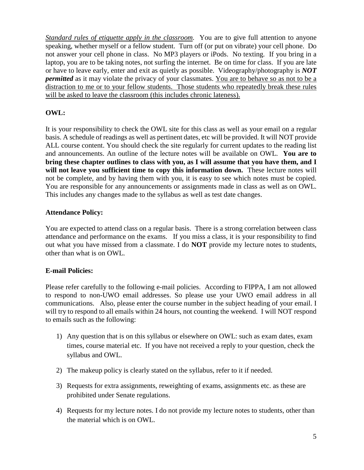*Standard rules of etiquette apply in the classroom.* You are to give full attention to anyone speaking, whether myself or a fellow student. Turn off (or put on vibrate) your cell phone. Do not answer your cell phone in class. No MP3 players or iPods. No texting. If you bring in a laptop, you are to be taking notes, not surfing the internet. Be on time for class. If you are late or have to leave early, enter and exit as quietly as possible. Videography/photography is *NOT permitted* as it may violate the privacy of your classmates. You are to behave so as not to be a distraction to me or to your fellow students. Those students who repeatedly break these rules will be asked to leave the classroom (this includes chronic lateness).

# **OWL:**

It is your responsibility to check the OWL site for this class as well as your email on a regular basis. A schedule of readings as well as pertinent dates, etc will be provided. It will NOT provide ALL course content. You should check the site regularly for current updates to the reading list and announcements. An outline of the lecture notes will be available on OWL. **You are to bring these chapter outlines to class with you, as I will assume that you have them, and I will not leave you sufficient time to copy this information down.** These lecture notes will not be complete, and by having them with you, it is easy to see which notes must be copied. You are responsible for any announcements or assignments made in class as well as on OWL. This includes any changes made to the syllabus as well as test date changes.

## **Attendance Policy:**

You are expected to attend class on a regular basis. There is a strong correlation between class attendance and performance on the exams. If you miss a class, it is your responsibility to find out what you have missed from a classmate. I do **NOT** provide my lecture notes to students, other than what is on OWL.

## **E-mail Policies:**

Please refer carefully to the following e-mail policies. According to FIPPA, I am not allowed to respond to non-UWO email addresses. So please use your UWO email address in all communications. Also, please enter the course number in the subject heading of your email. I will try to respond to all emails within 24 hours, not counting the weekend. I will NOT respond to emails such as the following:

- 1) Any question that is on this syllabus or elsewhere on OWL: such as exam dates, exam times, course material etc. If you have not received a reply to your question, check the syllabus and OWL.
- 2) The makeup policy is clearly stated on the syllabus, refer to it if needed.
- 3) Requests for extra assignments, reweighting of exams, assignments etc. as these are prohibited under Senate regulations.
- 4) Requests for my lecture notes. I do not provide my lecture notes to students, other than the material which is on OWL.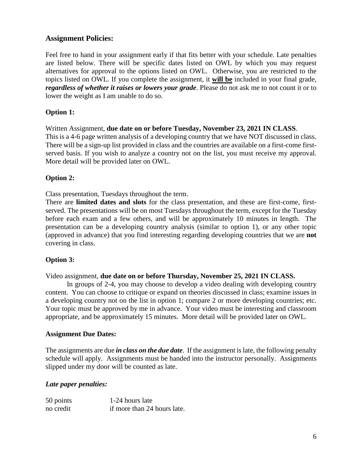# **Assignment Policies:**

Feel free to hand in your assignment early if that fits better with your schedule. Late penalties are listed below. There will be specific dates listed on OWL by which you may request alternatives for approval to the options listed on OWL. Otherwise, you are restricted to the topics listed on OWL. If you complete the assignment, it **will be** included in your final grade, *regardless of whether it raises or lowers your grade*. Please do not ask me to not count it or to lower the weight as I am unable to do so.

## **Option 1:**

Written Assignment, **due date on or before Tuesday, November 23, 2021 IN CLASS**. This is a 4-6 page written analysis of a developing country that we have NOT discussed in class. There will be a sign-up list provided in class and the countries are available on a first-come firstserved basis. If you wish to analyze a country not on the list, you must receive my approval. More detail will be provided later on OWL.

## **Option 2:**

Class presentation, Tuesdays throughout the term.

There are **limited dates and slots** for the class presentation, and these are first-come, firstserved. The presentations will be on most Tuesdays throughout the term, except for the Tuesday before each exam and a few others, and will be approximately 10 minutes in length. The presentation can be a developing country analysis (similar to option 1), or any other topic (approved in advance) that you find interesting regarding developing countries that we are **not** covering in class.

## **Option 3:**

Video assignment, **due date on or before Thursday, November 25, 2021 IN CLASS.** 

In groups of 2-4, you may choose to develop a video dealing with developing country content. You can choose to critique or expand on theories discussed in class; examine issues in a developing country not on the list in option 1; compare 2 or more developing countries; etc. Your topic must be approved by me in advance. Your video must be interesting and classroom appropriate, and be approximately 15 minutes. More detail will be provided later on OWL.

#### **Assignment Due Dates:**

The assignments are due *in class on the due date*. If the assignment is late, the following penalty schedule will apply. Assignments must be handed into the instructor personally. Assignments slipped under my door will be counted as late.

## *Late paper penalties:*

| 50 points | 1-24 hours late             |
|-----------|-----------------------------|
| no credit | if more than 24 hours late. |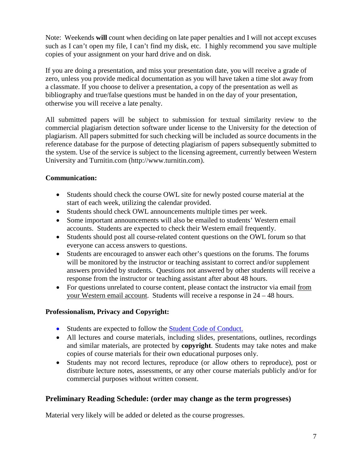Note: Weekends **will** count when deciding on late paper penalties and I will not accept excuses such as I can't open my file, I can't find my disk, etc. I highly recommend you save multiple copies of your assignment on your hard drive and on disk.

If you are doing a presentation, and miss your presentation date, you will receive a grade of zero, unless you provide medical documentation as you will have taken a time slot away from a classmate. If you choose to deliver a presentation, a copy of the presentation as well as bibliography and true/false questions must be handed in on the day of your presentation, otherwise you will receive a late penalty.

All submitted papers will be subject to submission for textual similarity review to the commercial plagiarism detection software under license to the University for the detection of plagiarism. All papers submitted for such checking will be included as source documents in the reference database for the purpose of detecting plagiarism of papers subsequently submitted to the system. Use of the service is subject to the licensing agreement, currently between Western University and Turnitin.com (http://www.turnitin.com).

## **Communication:**

- Students should check the course OWL site for newly posted course material at the start of each week, utilizing the calendar provided.
- Students should check OWL announcements multiple times per week.
- Some important announcements will also be emailed to students' Western email accounts. Students are expected to check their Western email frequently.
- Students should post all course-related content questions on the OWL forum so that everyone can access answers to questions.
- Students are encouraged to answer each other's questions on the forums. The forums will be monitored by the instructor or teaching assistant to correct and/or supplement answers provided by students. Questions not answered by other students will receive a response from the instructor or teaching assistant after about 48 hours.
- For questions unrelated to course content, please contact the instructor via email from your Western email account. Students will receive a response in 24 – 48 hours.

## **Professionalism, Privacy and Copyright:**

- Students are expected to follow the **Student Code of Conduct.**
- All lectures and course materials, including slides, presentations, outlines, recordings and similar materials, are protected by **copyright**. Students may take notes and make copies of course materials for their own educational purposes only.
- Students may not record lectures, reproduce (or allow others to reproduce), post or distribute lecture notes, assessments, or any other course materials publicly and/or for commercial purposes without written consent.

# **Preliminary Reading Schedule: (order may change as the term progresses)**

Material very likely will be added or deleted as the course progresses.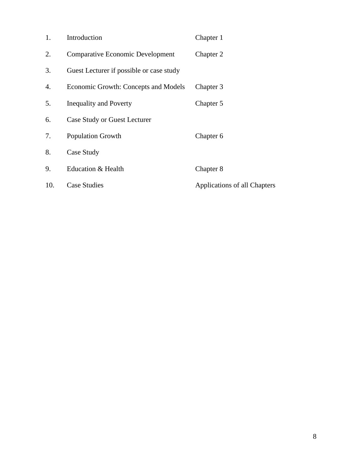| 1.  | Introduction                             | Chapter 1                    |
|-----|------------------------------------------|------------------------------|
| 2.  | <b>Comparative Economic Development</b>  | Chapter 2                    |
| 3.  | Guest Lecturer if possible or case study |                              |
| 4.  | Economic Growth: Concepts and Models     | Chapter 3                    |
| 5.  | Inequality and Poverty                   | Chapter 5                    |
| 6.  | <b>Case Study or Guest Lecturer</b>      |                              |
| 7.  | <b>Population Growth</b>                 | Chapter 6                    |
| 8.  | Case Study                               |                              |
| 9.  | Education & Health                       | Chapter 8                    |
| 10. | <b>Case Studies</b>                      | Applications of all Chapters |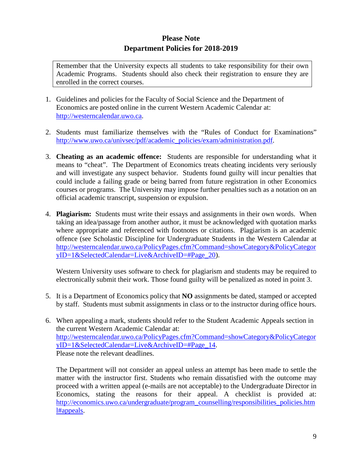# **Please Note Department Policies for 2018-2019**

Remember that the University expects all students to take responsibility for their own Academic Programs. Students should also check their registration to ensure they are enrolled in the correct courses.

- 1. Guidelines and policies for the Faculty of Social Science and the Department of Economics are posted online in the current Western Academic Calendar at: [http://westerncalendar.uwo.ca.](http://westerncalendar.uwo.ca/)
- 2. Students must familiarize themselves with the "Rules of Conduct for Examinations" [http://www.uwo.ca/univsec/pdf/academic\\_policies/exam/administration.pdf.](http://www.uwo.ca/univsec/pdf/academic_policies/exam/administration.pdf)
- 3. **Cheating as an academic offence:** Students are responsible for understanding what it means to "cheat". The Department of Economics treats cheating incidents very seriously and will investigate any suspect behavior. Students found guilty will incur penalties that could include a failing grade or being barred from future registration in other Economics courses or programs. The University may impose further penalties such as a notation on an official academic transcript, suspension or expulsion.
- 4. **Plagiarism:** Students must write their essays and assignments in their own words. When taking an idea/passage from another author, it must be acknowledged with quotation marks where appropriate and referenced with footnotes or citations. Plagiarism is an academic offence (see Scholastic Discipline for Undergraduate Students in the Western Calendar at [http://westerncalendar.uwo.ca/PolicyPages.cfm?Command=showCategory&PolicyCategor](http://westerncalendar.uwo.ca/PolicyPages.cfm?Command=showCategory&PolicyCategoryID=1&SelectedCalendar=Live&ArchiveID=#Page_20) [yID=1&SelectedCalendar=Live&ArchiveID=#Page\\_20\)](http://westerncalendar.uwo.ca/PolicyPages.cfm?Command=showCategory&PolicyCategoryID=1&SelectedCalendar=Live&ArchiveID=#Page_20).

Western University uses software to check for plagiarism and students may be required to electronically submit their work. Those found guilty will be penalized as noted in point 3.

- 5. It is a Department of Economics policy that **NO** assignments be dated, stamped or accepted by staff. Students must submit assignments in class or to the instructor during office hours.
- 6. When appealing a mark, students should refer to the Student Academic Appeals section in the current Western Academic Calendar at: [http://westerncalendar.uwo.ca/PolicyPages.cfm?Command=showCategory&PolicyCategor](http://westerncalendar.uwo.ca/PolicyPages.cfm?Command=showCategory&PolicyCategoryID=1&SelectedCalendar=Live&ArchiveID=#Page_14) [yID=1&SelectedCalendar=Live&ArchiveID=#Page\\_14.](http://westerncalendar.uwo.ca/PolicyPages.cfm?Command=showCategory&PolicyCategoryID=1&SelectedCalendar=Live&ArchiveID=#Page_14) Please note the relevant deadlines.

The Department will not consider an appeal unless an attempt has been made to settle the matter with the instructor first. Students who remain dissatisfied with the outcome may proceed with a written appeal (e-mails are not acceptable) to the Undergraduate Director in Economics, stating the reasons for their appeal. A checklist is provided at: [http://economics.uwo.ca/undergraduate/program\\_counselling/responsibilities\\_policies.htm](http://economics.uwo.ca/undergraduate/program_counselling/responsibilities_policies.html#appeals) [l#appeals.](http://economics.uwo.ca/undergraduate/program_counselling/responsibilities_policies.html#appeals)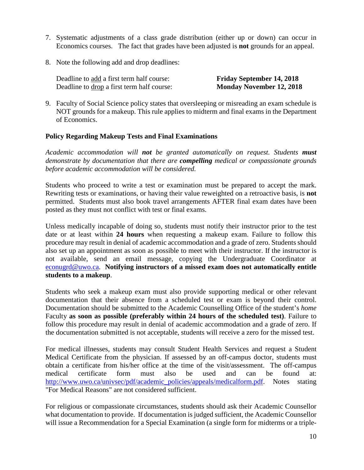- 7. Systematic adjustments of a class grade distribution (either up or down) can occur in Economics courses. The fact that grades have been adjusted is **not** grounds for an appeal.
- 8. Note the following add and drop deadlines:

Deadline to add a first term half course: **Friday September 14, 2018** Deadline to drop a first term half course: **Monday November 12, 2018**

9. Faculty of Social Science policy states that oversleeping or misreading an exam schedule is NOT grounds for a makeup. This rule applies to midterm and final exams in the Department of Economics.

#### **Policy Regarding Makeup Tests and Final Examinations**

*Academic accommodation will not be granted automatically on request. Students must demonstrate by documentation that there are compelling medical or compassionate grounds before academic accommodation will be considered.*

Students who proceed to write a test or examination must be prepared to accept the mark. Rewriting tests or examinations, or having their value reweighted on a retroactive basis, is **not** permitted. Students must also book travel arrangements AFTER final exam dates have been posted as they must not conflict with test or final exams.

Unless medically incapable of doing so, students must notify their instructor prior to the test date or at least within **24 hours** when requesting a makeup exam. Failure to follow this procedure may result in denial of academic accommodation and a grade of zero. Students should also set up an appointment as soon as possible to meet with their instructor. If the instructor is not available, send an email message, copying the Undergraduate Coordinator at [econugrd@uwo.ca.](mailto:econugrd@uwo.ca) **Notifying instructors of a missed exam does not automatically entitle students to a makeup**.

Students who seek a makeup exam must also provide supporting medical or other relevant documentation that their absence from a scheduled test or exam is beyond their control. Documentation should be submitted to the Academic Counselling Office of the student's *home* Faculty **as soon as possible (preferably within 24 hours of the scheduled test)**. Failure to follow this procedure may result in denial of academic accommodation and a grade of zero. If the documentation submitted is not acceptable, students will receive a zero for the missed test.

For medical illnesses, students may consult Student Health Services and request a Student Medical Certificate from the physician. If assessed by an off-campus doctor, students must obtain a certificate from his/her office at the time of the visit/assessment. The off-campus medical certificate form must also be used and can be found at: [http://www.uwo.ca/univsec/pdf/academic\\_policies/appeals/medicalform.pdf.](http://www.uwo.ca/univsec/pdf/academic_policies/appeals/medicalform.pdf) Notes stating "For Medical Reasons" are not considered sufficient.

For religious or compassionate circumstances, students should ask their Academic Counsellor what documentation to provide. If documentation is judged sufficient, the Academic Counsellor will issue a Recommendation for a Special Examination (a single form for midterms or a triple